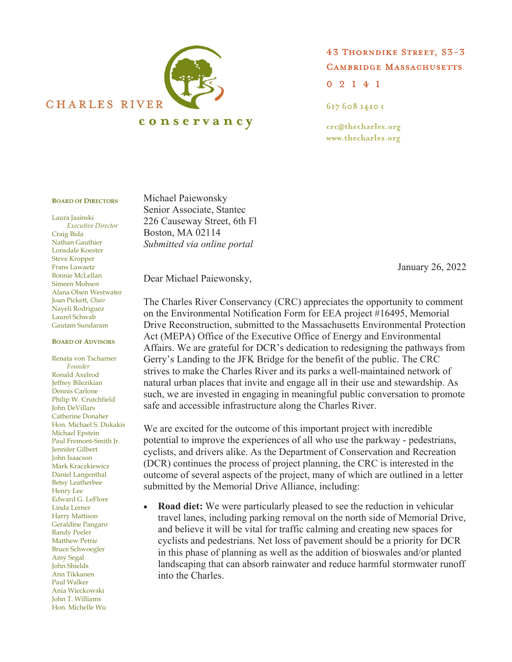

43 THORNDIKE STREET, S3-3 **CAMBRIDGE MASSACHUSETTS**  $0 2 1 4 1$ 

617 608 1410 t

crc@thecharles.org www.thecharles.org

## **BOARD OF DIRECTORS**

Laura Jasinski *Executive Director* Craig Bida Nathan Gauthier Lonsdale Koester Steve Kropper Frans Lawaetz Bonnie McLellan Simeen Mohsen Alana Olsen Westwater Joan Pickett, *Chair* Nayeli Rodriguez Laurel Schwab Gautam Sundaram

## **BOARD OF ADVISORS**

Renata von Tscharner *Founder*  Ronald Axelrod Jeffrey Bilezikian Dennis Carlone Philip W. Crutchfield John DeVillars Catherine Donaher Hon. Michael S. Dukakis Michael Epstein Paul Fremont-Smith Jr. Jennifer Gilbert John Isaacson Mark Kraczkiewicz Daniel Langenthal Betsy Leatherbee Henry Lee Edward G. LeFlore Linda Lerner Harry Mattison Geraldine Pangaro Randy Peeler Matthew Petrie Bruce Schwoegler Amy Segal John Shields Ann Tikkanen Paul Walker Ania Wieckowski John T. Williams Hon. Michelle Wu

Michael Paiewonsky Senior Associate, Stantec 226 Causeway Street, 6th Fl Boston, MA 02114 *Submitted via online portal*

January 26, 2022

Dear Michael Paiewonsky,

The Charles River Conservancy (CRC) appreciates the opportunity to comment on the Environmental Notification Form for EEA project #16495, Memorial Drive Reconstruction, submitted to the Massachusetts Environmental Protection Act (MEPA) Office of the Executive Office of Energy and Environmental Affairs. We are grateful for DCR's dedication to redesigning the pathways from Gerry's Landing to the JFK Bridge for the benefit of the public. The CRC strives to make the Charles River and its parks a well-maintained network of natural urban places that invite and engage all in their use and stewardship. As such, we are invested in engaging in meaningful public conversation to promote safe and accessible infrastructure along the Charles River.

We are excited for the outcome of this important project with incredible potential to improve the experiences of all who use the parkway - pedestrians, cyclists, and drivers alike. As the Department of Conservation and Recreation (DCR) continues the process of project planning, the CRC is interested in the outcome of several aspects of the project, many of which are outlined in a letter submitted by the Memorial Drive Alliance, including:

• **Road diet:** We were particularly pleased to see the reduction in vehicular travel lanes, including parking removal on the north side of Memorial Drive, and believe it will be vital for traffic calming and creating new spaces for cyclists and pedestrians. Net loss of pavement should be a priority for DCR in this phase of planning as well as the addition of bioswales and/or planted landscaping that can absorb rainwater and reduce harmful stormwater runoff into the Charles.